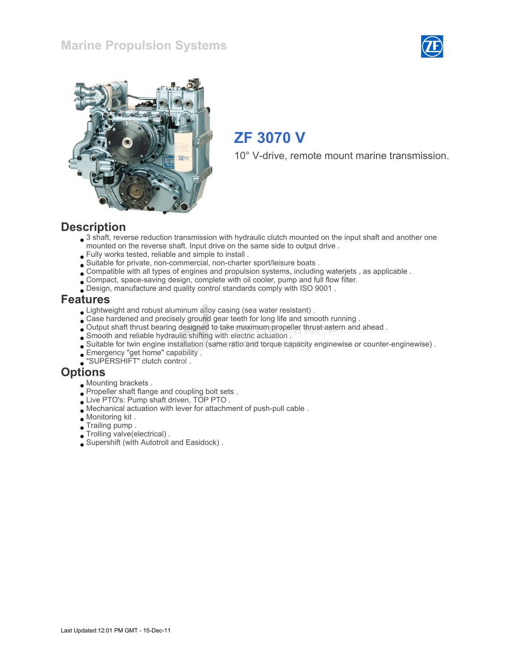



# ZF 3070 V

10° V-drive, remote mount marine transmission.

### **Description**

- 3 shaft, reverse reduction transmission with hydraulic clutch mounted on the input shaft and another one mounted on the reverse shaft. Input drive on the same side to output drive .
- Fully works tested, reliable and simple to install .
- Suitable for private, non-commercial, non-charter sport/leisure boats .
- Compatible with all types of engines and propulsion systems, including waterjets , as applicable .
- Compact, space-saving design, complete with oil cooler, pump and full flow filter.
- Design, manufacture and quality control standards comply with ISO 9001 .

### Features

- Lightweight and robust aluminum alloy casing (sea water resistant) .
- Case hardened and precisely ground gear teeth for long life and smooth running .
- Output shaft thrust bearing designed to take maximum propeller thrust astern and ahead .
- Smooth and reliable hydraulic shifting with electric actuation .
- Suitable for twin engine installation (same ratio and torque capacity enginewise or counter-enginewise) .
- Emergency "get home" capability .
- "SUPERSHIFT" clutch control .

### **Options**

- Mounting brackets .
- Propeller shaft flange and coupling bolt sets.
- Live PTO's: Pump shaft driven, TOP PTO .
- Mechanical actuation with lever for attachment of push-pull cable .
- Monitoring kit .
- Trailing pump .
- Trolling valve(electrical) .
- Supershift (with Autotroll and Easidock) .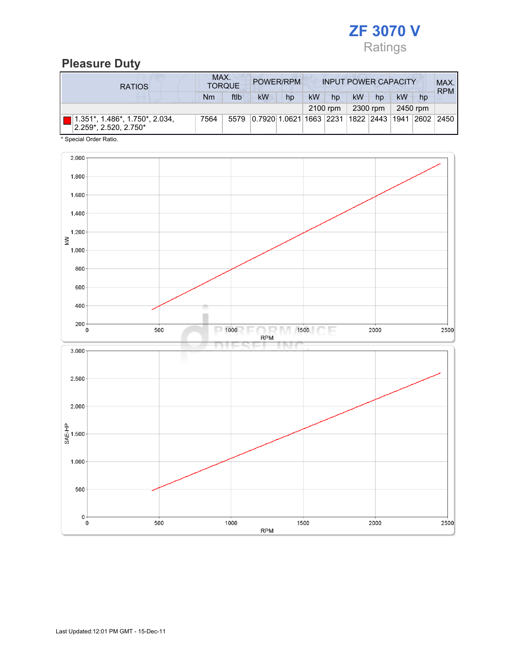

## Pleasure Duty

| <b>RATIOS</b>                                                       | MAX.<br>POWER/RPM<br><b>INPUT POWER CAPACITY</b><br><b>TORQUE</b> |      |                                                         |    |    |                      |    |          |           | MAX.<br><b>RPM</b> |  |
|---------------------------------------------------------------------|-------------------------------------------------------------------|------|---------------------------------------------------------|----|----|----------------------|----|----------|-----------|--------------------|--|
|                                                                     | Nm                                                                | ftlb | kW                                                      | hp | kW | hp                   | kW | hp       | <b>kW</b> | hp                 |  |
|                                                                     |                                                                   |      |                                                         |    |    | 2300 rpm<br>2100 rpm |    | 2450 rpm |           |                    |  |
| $1.351^*$ , $1.486^*$ , $1.750^*$ , 2.034,<br>2.259*, 2.520, 2.750* | 7564                                                              | 5579 | 0.7920 1.0621 1663  2231  1822  2443  1941  2602   2450 |    |    |                      |    |          |           |                    |  |

\* Special Order Ratio.

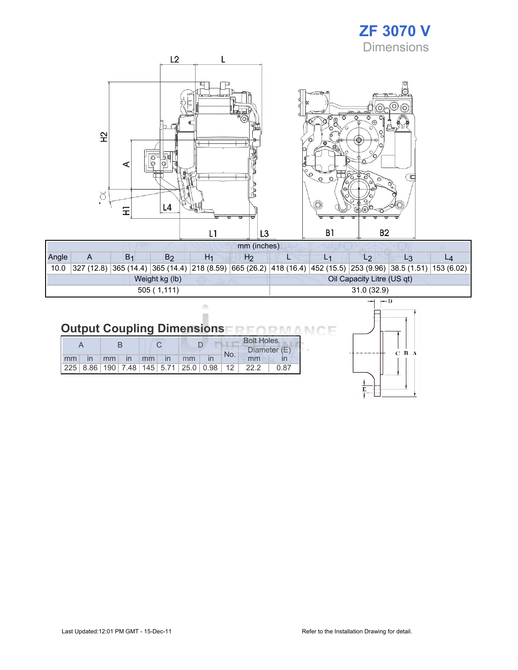# ZF 3070 V **Dimensions**



| Angle      |  | B <sub>1</sub> | B2             | H1 | Hz |            |  |                            |                                                                                                                |  |  |  |
|------------|--|----------------|----------------|----|----|------------|--|----------------------------|----------------------------------------------------------------------------------------------------------------|--|--|--|
| 10.0       |  |                |                |    |    |            |  |                            | 327 (12.8) 365 (14.4) 365 (14.4) 218 (8.59) 665 (26.2) 418 (16.4) 452 (15.5) 253 (9.96) 38.5 (1.51) 153 (6.02) |  |  |  |
|            |  |                | Weight kg (lb) |    |    |            |  | Oil Capacity Litre (US qt) |                                                                                                                |  |  |  |
| 505(1,111) |  |                |                |    |    | 31.0(32.9) |  |                            |                                                                                                                |  |  |  |

### **Output Coupling Dimensions NO NA** ìE л МC

ò ×

|    |              |  |              |  |    | <b>Bolt Holes</b>                                       |     |              |      |  |
|----|--------------|--|--------------|--|----|---------------------------------------------------------|-----|--------------|------|--|
|    |              |  |              |  |    |                                                         |     | Diameter (E) |      |  |
| mm | $\mathsf{I}$ |  | $mm$ in $mm$ |  | mm |                                                         | No. | mm           |      |  |
|    |              |  |              |  |    | 225   8.86   190   7.48   145   5.71   25.0   0.98   12 |     | 22.2         | 0.87 |  |